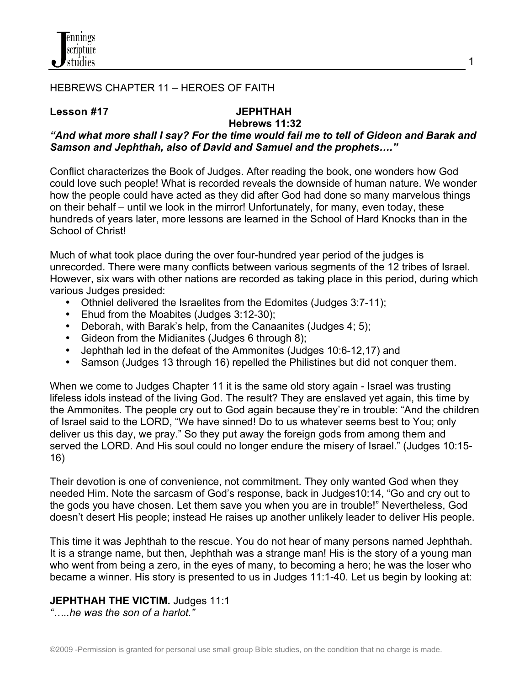

#### HEBREWS CHAPTER 11 – HEROES OF FAITH

#### **Lesson #17****JEPHTHAH**

# **Hebrews 11:32**

## *"And what more shall I say? For the time would fail me to tell of Gideon and Barak and Samson and Jephthah, also of David and Samuel and the prophets…."*

Conflict characterizes the Book of Judges. After reading the book, one wonders how God could love such people! What is recorded reveals the downside of human nature. We wonder how the people could have acted as they did after God had done so many marvelous things on their behalf – until we look in the mirror! Unfortunately, for many, even today, these hundreds of years later, more lessons are learned in the School of Hard Knocks than in the School of Christ!

Much of what took place during the over four-hundred year period of the judges is unrecorded. There were many conflicts between various segments of the 12 tribes of Israel. However, six wars with other nations are recorded as taking place in this period, during which various Judges presided:

- Othniel delivered the Israelites from the Edomites (Judges 3:7-11);
- Ehud from the Moabites (Judges 3:12-30);
- Deborah, with Barak's help, from the Canaanites (Judges 4; 5);
- Gideon from the Midianites (Judges 6 through 8);
- Jephthah led in the defeat of the Ammonites (Judges 10:6-12,17) and
- Samson (Judges 13 through 16) repelled the Philistines but did not conquer them.

When we come to Judges Chapter 11 it is the same old story again - Israel was trusting lifeless idols instead of the living God. The result? They are enslaved yet again, this time by the Ammonites. The people cry out to God again because they're in trouble: "And the children of Israel said to the LORD, "We have sinned! Do to us whatever seems best to You; only deliver us this day, we pray." So they put away the foreign gods from among them and served the LORD. And His soul could no longer endure the misery of Israel." (Judges 10:15- 16)

Their devotion is one of convenience, not commitment. They only wanted God when they needed Him. Note the sarcasm of God's response, back in Judges10:14, "Go and cry out to the gods you have chosen. Let them save you when you are in trouble!" Nevertheless, God doesn't desert His people; instead He raises up another unlikely leader to deliver His people.

This time it was Jephthah to the rescue. You do not hear of many persons named Jephthah. It is a strange name, but then, Jephthah was a strange man! His is the story of a young man who went from being a zero, in the eyes of many, to becoming a hero; he was the loser who became a winner. His story is presented to us in Judges 11:1-40. Let us begin by looking at:

#### **JEPHTHAH THE VICTIM.** Judges 11:1

*"…..he was the son of a harlot."*

1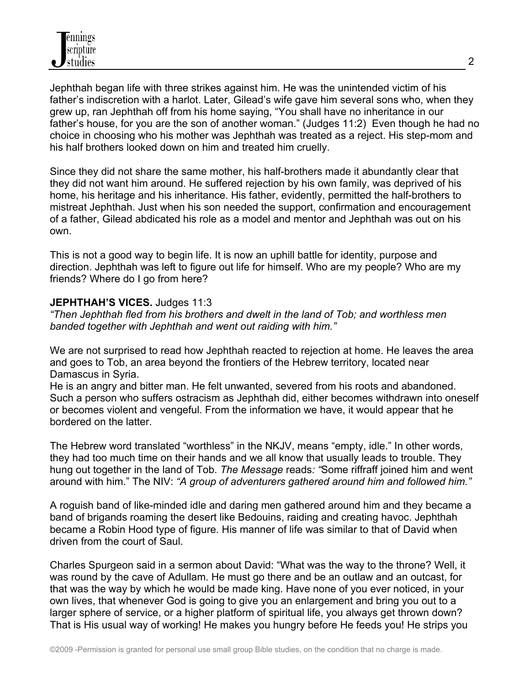Jephthah began life with three strikes against him. He was the unintended victim of his father's indiscretion with a harlot. Later, Gilead's wife gave him several sons who, when they grew up, ran Jephthah off from his home saying, "You shall have no inheritance in our father's house, for you are the son of another woman." (Judges 11:2) Even though he had no choice in choosing who his mother was Jephthah was treated as a reject. His step-mom and his half brothers looked down on him and treated him cruelly.

Since they did not share the same mother, his half-brothers made it abundantly clear that they did not want him around. He suffered rejection by his own family, was deprived of his home, his heritage and his inheritance. His father, evidently, permitted the half-brothers to mistreat Jephthah. Just when his son needed the support, confirmation and encouragement of a father, Gilead abdicated his role as a model and mentor and Jephthah was out on his own.

This is not a good way to begin life. It is now an uphill battle for identity, purpose and direction. Jephthah was left to figure out life for himself. Who are my people? Who are my friends? Where do I go from here?

#### **JEPHTHAH'S VICES.** Judges 11:3

*"Then Jephthah fled from his brothers and dwelt in the land of Tob; and worthless men banded together with Jephthah and went out raiding with him."*

We are not surprised to read how Jephthah reacted to rejection at home. He leaves the area and goes to Tob, an area beyond the frontiers of the Hebrew territory, located near Damascus in Syria.

He is an angry and bitter man. He felt unwanted, severed from his roots and abandoned. Such a person who suffers ostracism as Jephthah did, either becomes withdrawn into oneself or becomes violent and vengeful. From the information we have, it would appear that he bordered on the latter.

The Hebrew word translated "worthless" in the NKJV, means "empty, idle." In other words, they had too much time on their hands and we all know that usually leads to trouble. They hung out together in the land of Tob. *The Message* reads*: "*Some riffraff joined him and went around with him." The NIV: *"A group of adventurers gathered around him and followed him."*

A roguish band of like-minded idle and daring men gathered around him and they became a band of brigands roaming the desert like Bedouins, raiding and creating havoc. Jephthah became a Robin Hood type of figure. His manner of life was similar to that of David when driven from the court of Saul.

Charles Spurgeon said in a sermon about David: "What was the way to the throne? Well, it was round by the cave of Adullam. He must go there and be an outlaw and an outcast, for that was the way by which he would be made king. Have none of you ever noticed, in your own lives, that whenever God is going to give you an enlargement and bring you out to a larger sphere of service, or a higher platform of spiritual life, you always get thrown down? That is His usual way of working! He makes you hungry before He feeds you! He strips you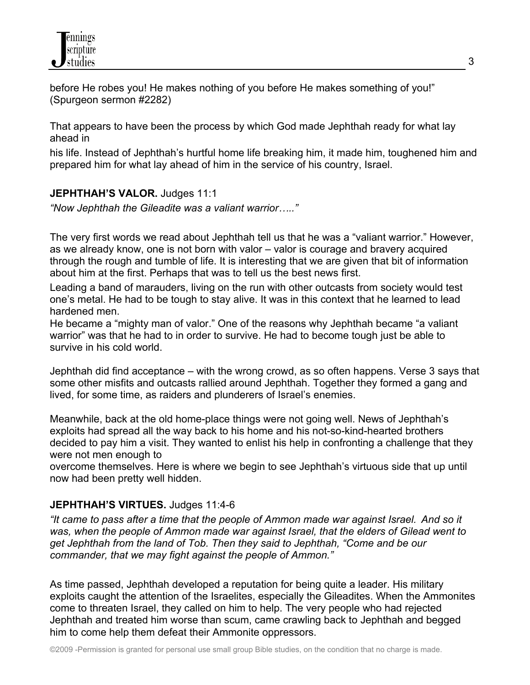

before He robes you! He makes nothing of you before He makes something of you!" (Spurgeon sermon #2282)

That appears to have been the process by which God made Jephthah ready for what lay ahead in

his life. Instead of Jephthah's hurtful home life breaking him, it made him, toughened him and prepared him for what lay ahead of him in the service of his country, Israel.

#### **JEPHTHAH'S VALOR.** Judges 11:1

*"Now Jephthah the Gileadite was a valiant warrior….."*

The very first words we read about Jephthah tell us that he was a "valiant warrior." However, as we already know, one is not born with valor – valor is courage and bravery acquired through the rough and tumble of life. It is interesting that we are given that bit of information about him at the first. Perhaps that was to tell us the best news first.

Leading a band of marauders, living on the run with other outcasts from society would test one's metal. He had to be tough to stay alive. It was in this context that he learned to lead hardened men.

He became a "mighty man of valor." One of the reasons why Jephthah became "a valiant warrior" was that he had to in order to survive. He had to become tough just be able to survive in his cold world.

Jephthah did find acceptance – with the wrong crowd, as so often happens. Verse 3 says that some other misfits and outcasts rallied around Jephthah. Together they formed a gang and lived, for some time, as raiders and plunderers of Israel's enemies.

Meanwhile, back at the old home-place things were not going well. News of Jephthah's exploits had spread all the way back to his home and his not-so-kind-hearted brothers decided to pay him a visit. They wanted to enlist his help in confronting a challenge that they were not men enough to

overcome themselves. Here is where we begin to see Jephthah's virtuous side that up until now had been pretty well hidden.

#### **JEPHTHAH'S VIRTUES.** Judges 11:4-6

*"It came to pass after a time that the people of Ammon made war against Israel. And so it was, when the people of Ammon made war against Israel, that the elders of Gilead went to get Jephthah from the land of Tob. Then they said to Jephthah, "Come and be our commander, that we may fight against the people of Ammon."*

As time passed, Jephthah developed a reputation for being quite a leader. His military exploits caught the attention of the Israelites, especially the Gileadites. When the Ammonites come to threaten Israel, they called on him to help. The very people who had rejected Jephthah and treated him worse than scum, came crawling back to Jephthah and begged him to come help them defeat their Ammonite oppressors.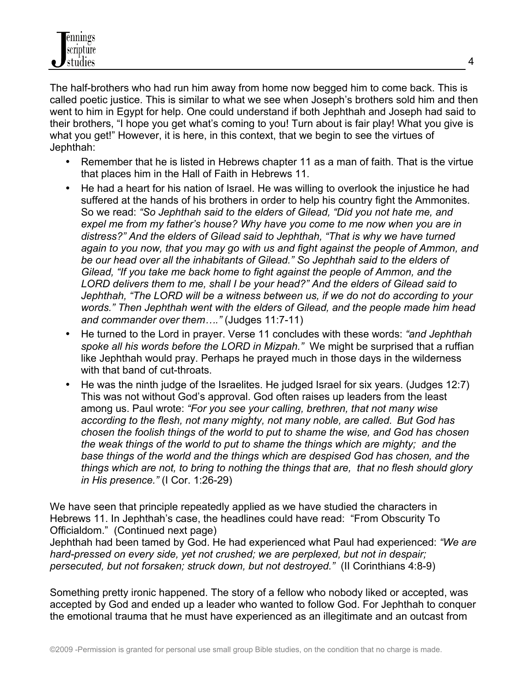The half-brothers who had run him away from home now begged him to come back. This is called poetic justice. This is similar to what we see when Joseph's brothers sold him and then went to him in Egypt for help. One could understand if both Jephthah and Joseph had said to their brothers, "I hope you get what's coming to you! Turn about is fair play! What you give is what you get!" However, it is here, in this context, that we begin to see the virtues of Jephthah:

- Remember that he is listed in Hebrews chapter 11 as a man of faith. That is the virtue that places him in the Hall of Faith in Hebrews 11.
- He had a heart for his nation of Israel. He was willing to overlook the injustice he had suffered at the hands of his brothers in order to help his country fight the Ammonites. So we read: *"So Jephthah said to the elders of Gilead, "Did you not hate me, and expel me from my father's house? Why have you come to me now when you are in distress?" And the elders of Gilead said to Jephthah, "That is why we have turned again to you now, that you may go with us and fight against the people of Ammon, and be our head over all the inhabitants of Gilead." So Jephthah said to the elders of Gilead, "If you take me back home to fight against the people of Ammon, and the LORD delivers them to me, shall I be your head?" And the elders of Gilead said to Jephthah, "The LORD will be a witness between us, if we do not do according to your words." Then Jephthah went with the elders of Gilead, and the people made him head and commander over them…."* (Judges 11:7-11)
- He turned to the Lord in prayer. Verse 11 concludes with these words: *"and Jephthah spoke all his words before the LORD in Mizpah."* We might be surprised that a ruffian like Jephthah would pray. Perhaps he prayed much in those days in the wilderness with that band of cut-throats.
- He was the ninth judge of the Israelites. He judged Israel for six years. (Judges 12:7) This was not without God's approval. God often raises up leaders from the least among us. Paul wrote: *"For you see your calling, brethren, that not many wise according to the flesh, not many mighty, not many noble, are called. But God has chosen the foolish things of the world to put to shame the wise, and God has chosen the weak things of the world to put to shame the things which are mighty; and the base things of the world and the things which are despised God has chosen, and the things which are not, to bring to nothing the things that are, that no flesh should glory in His presence."* (I Cor. 1:26-29)

We have seen that principle repeatedly applied as we have studied the characters in Hebrews 11. In Jephthah's case, the headlines could have read: "From Obscurity To Officialdom." (Continued next page)

Jephthah had been tamed by God. He had experienced what Paul had experienced: *"We are hard-pressed on every side, yet not crushed; we are perplexed, but not in despair; persecuted, but not forsaken; struck down, but not destroyed."* (II Corinthians 4:8-9)

Something pretty ironic happened. The story of a fellow who nobody liked or accepted, was accepted by God and ended up a leader who wanted to follow God. For Jephthah to conquer the emotional trauma that he must have experienced as an illegitimate and an outcast from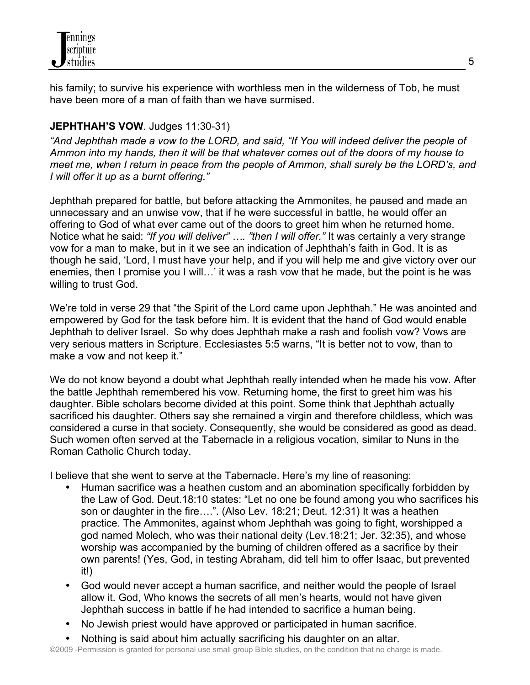his family; to survive his experience with worthless men in the wilderness of Tob, he must have been more of a man of faith than we have surmised.

## **JEPHTHAH'S VOW**. Judges 11:30-31)

*"And Jephthah made a vow to the LORD, and said, "If You will indeed deliver the people of Ammon into my hands, then it will be that whatever comes out of the doors of my house to meet me, when I return in peace from the people of Ammon, shall surely be the LORD's, and I will offer it up as a burnt offering."* 

Jephthah prepared for battle, but before attacking the Ammonites, he paused and made an unnecessary and an unwise vow, that if he were successful in battle, he would offer an offering to God of what ever came out of the doors to greet him when he returned home. Notice what he said: *"If you will deliver" …. "then I will offer."* It was certainly a very strange vow for a man to make, but in it we see an indication of Jephthah's faith in God. It is as though he said, 'Lord, I must have your help, and if you will help me and give victory over our enemies, then I promise you I will…' it was a rash vow that he made, but the point is he was willing to trust God.

We're told in verse 29 that "the Spirit of the Lord came upon Jephthah." He was anointed and empowered by God for the task before him. It is evident that the hand of God would enable Jephthah to deliver Israel. So why does Jephthah make a rash and foolish vow? Vows are very serious matters in Scripture. Ecclesiastes 5:5 warns, "It is better not to vow, than to make a vow and not keep it."

We do not know beyond a doubt what Jephthah really intended when he made his vow. After the battle Jephthah remembered his vow. Returning home, the first to greet him was his daughter. Bible scholars become divided at this point. Some think that Jephthah actually sacrificed his daughter. Others say she remained a virgin and therefore childless, which was considered a curse in that society. Consequently, she would be considered as good as dead. Such women often served at the Tabernacle in a religious vocation, similar to Nuns in the Roman Catholic Church today.

I believe that she went to serve at the Tabernacle. Here's my line of reasoning:

- Human sacrifice was a heathen custom and an abomination specifically forbidden by the Law of God. Deut.18:10 states: "Let no one be found among you who sacrifices his son or daughter in the fire….". (Also Lev. 18:21; Deut. 12:31) It was a heathen practice. The Ammonites, against whom Jephthah was going to fight, worshipped a god named Molech, who was their national deity (Lev.18:21; Jer. 32:35), and whose worship was accompanied by the burning of children offered as a sacrifice by their own parents! (Yes, God, in testing Abraham, did tell him to offer Isaac, but prevented it!)
- God would never accept a human sacrifice, and neither would the people of Israel allow it. God, Who knows the secrets of all men's hearts, would not have given Jephthah success in battle if he had intended to sacrifice a human being.
- No Jewish priest would have approved or participated in human sacrifice.
- Nothing is said about him actually sacrificing his daughter on an altar.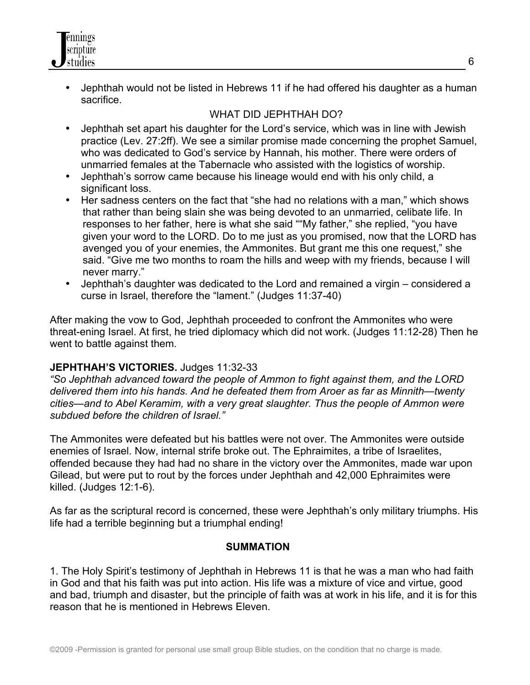- nnings cripture studies
	- Jephthah would not be listed in Hebrews 11 if he had offered his daughter as a human sacrifice.

## WHAT DID JEPHTHAH DO?

- Jephthah set apart his daughter for the Lord's service, which was in line with Jewish practice (Lev. 27:2ff). We see a similar promise made concerning the prophet Samuel, who was dedicated to God's service by Hannah, his mother. There were orders of unmarried females at the Tabernacle who assisted with the logistics of worship.
- Jephthah's sorrow came because his lineage would end with his only child, a significant loss.
- Her sadness centers on the fact that "she had no relations with a man," which shows that rather than being slain she was being devoted to an unmarried, celibate life. In responses to her father, here is what she said ""My father," she replied, "you have given your word to the LORD. Do to me just as you promised, now that the LORD has avenged you of your enemies, the Ammonites. But grant me this one request," she said. "Give me two months to roam the hills and weep with my friends, because I will never marry."
- Jephthah's daughter was dedicated to the Lord and remained a virgin considered a curse in Israel, therefore the "lament." (Judges 11:37-40)

After making the vow to God, Jephthah proceeded to confront the Ammonites who were threat-ening Israel. At first, he tried diplomacy which did not work. (Judges 11:12-28) Then he went to battle against them.

## **JEPHTHAH'S VICTORIES.** Judges 11:32-33

*"So Jephthah advanced toward the people of Ammon to fight against them, and the LORD delivered them into his hands. And he defeated them from Aroer as far as Minnith—twenty cities—and to Abel Keramim, with a very great slaughter. Thus the people of Ammon were subdued before the children of Israel."*

The Ammonites were defeated but his battles were not over. The Ammonites were outside enemies of Israel. Now, internal strife broke out. The Ephraimites, a tribe of Israelites, offended because they had had no share in the victory over the Ammonites, made war upon Gilead, but were put to rout by the forces under Jephthah and 42,000 Ephraimites were killed. (Judges 12:1-6).

As far as the scriptural record is concerned, these were Jephthah's only military triumphs. His life had a terrible beginning but a triumphal ending!

#### **SUMMATION**

1. The Holy Spirit's testimony of Jephthah in Hebrews 11 is that he was a man who had faith in God and that his faith was put into action. His life was a mixture of vice and virtue, good and bad, triumph and disaster, but the principle of faith was at work in his life, and it is for this reason that he is mentioned in Hebrews Eleven.